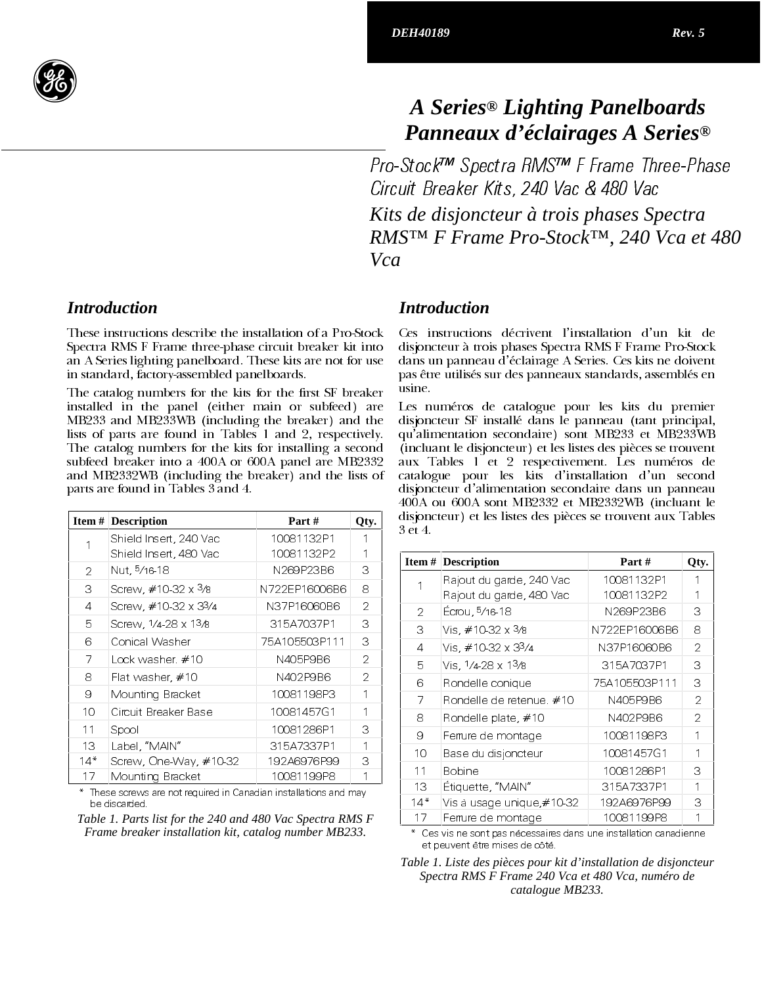

# A Series<sup>®</sup> Lighting Panelboards Panneaux d'éclairages A Series<sup>®</sup>

Pro-Stock™ Spectra RMS™ F Frame Three-Phase Circuit Breaker Kits, 240 Vac & 480 Vac Kits de disjoncteur à trois phases Spectra RMSTM F Frame Pro-StockTM, 240 Vca et 480 Vca

## **Introduction**

These instructions describe the installation of a Pro-Stock Spectra RMS F Frame three-phase circuit breaker kit into an A Series lighting panelboard. These kits are not for use in standard, factory-assembled panelboards.

The catalog numbers for the kits for the first SF breaker installed in the panel (either main or subfeed) are MB233 and MB233WB (including the breaker) and the lists of parts are found in Tables 1 and 2, respectively. The catalog numbers for the kits for installing a second subfeed breaker into a 400A or 600A panel are MB2332 and MB2332WB (including the breaker) and the lists of parts are found in Tables 3 and 4.

|                | <b>Item # Description</b> | Part#         | Qty. |
|----------------|---------------------------|---------------|------|
|                | Shield Insert, 240 Vac    | 10081132P1    |      |
|                | Shield Insert, 480 Vac    | 10081132P2    |      |
| 2              | Nut, 5/16-18              | N269P23B6     | З    |
| 3              | Screw, #10-32 x 3/8       | N722EP16006B6 | 8    |
| $\overline{4}$ | Screw, #10-32 x 33/4      | N37P16060B6   | 2    |
| 5              | Screw, 1/4-28 x 13/8      | 315A7037P1    | 3    |
| 6              | Conical Washer            | 75A105503P111 | 3    |
| 7              | Lock washer $#10$         | N405P9B6      | 2    |
| 8              | Flat washer, $\#10$       | N402 P9B6     | 2    |
| 9              | Mounting Bracket          | 10081198P3    | 1    |
| 10             | Circuit Breaker Base      | 10081457G1    | 1    |
| 11             | Spool                     | 10081286P1    | З    |
| 13             | Label, "MAIN"             | 315A7337P1    | 1    |
| $14*$          | Screw, One-Way, $\#10-32$ | 192A6976P99   | 3    |
| 17             | Mounting Bracket          | 10081199P8    |      |

These screws are not required in Canadian installations and may be discarded

Table 1. Parts list for the 240 and 480 Vac Spectra RMS F Frame breaker installation kit, catalog number MB233.

## **Introduction**

Ces instructions décrivent l'installation d'un kit de disjoncteur à trois phases Spectra RMS F Frame Pro-Stock dans un panneau d'éclairage A Series. Ces kits ne doivent pas être utilisés sur des panneaux standards, assemblés en usine.

Les numéros de catalogue pour les kits du premier disjoncteur SF installé dans le panneau (tant principal, qu'alimentation secondaire) sont MB233 et MB233WB (incluant le disjoncteur) et les listes des pièces se trouvent aux Tables 1 et 2 respectivement. Les numéros de catalogue pour les kits d'installation d'un second disjoncteur d'alimentation secondaire dans un panneau 400A ou 600A sont MB2332 et MB2332WB (incluant le disjoncteur) et les listes des pièces se trouvent aux Tables 3 et 4.

| Item# | <b>Description</b>          | Part #        | Qty. |
|-------|-----------------------------|---------------|------|
| 1     | Rajout du garde, 240 Vac    | 10081132P1    |      |
|       | Rajout du garde, 480 Vac    | 10081132P2    |      |
| 2     | Écrou, 5/16-18              | N269P23B6     | З    |
| 3     | Vis. #10-32 x 3/8           | N722EP16006B6 | 8    |
| 4     | Vis. #10-32 x 33/4          | N37P16060B6   | 2    |
| 5     | Vis. 1/4-28 x 13/8          | 315A7037P1    | З    |
| 6     | Rondelle conique            | 75A105503P111 | 3    |
| 7     | Rondelle de retenue. $\#10$ | N405P9B6      | 2    |
| 8     | Rondelle plate, #10         | N 402 P9 B6   | 2    |
| 9     | Ferrure de montage          | 10081198P3    |      |
| 10    | Base du disjoncteur         | 10081457G1    |      |
| 11    | <b>Bobine</b>               | 10081286P1    | З    |
| 13    | Etiquette, "MAIN"           | 315A7337P1    |      |
| $14*$ | Vis à usage unique,#10-32   | 192A6976P99   | З    |
| 17    | Ferrure de montage          | 10081199P8    |      |

Ces vis ne sont pas nécessaires dans une installation canadienne et neuvent être mises de côté

Table 1. Liste des pièces pour kit d'installation de disjoncteur Spectra RMS F Frame 240 Vca et 480 Vca, numéro de catalogue MB233.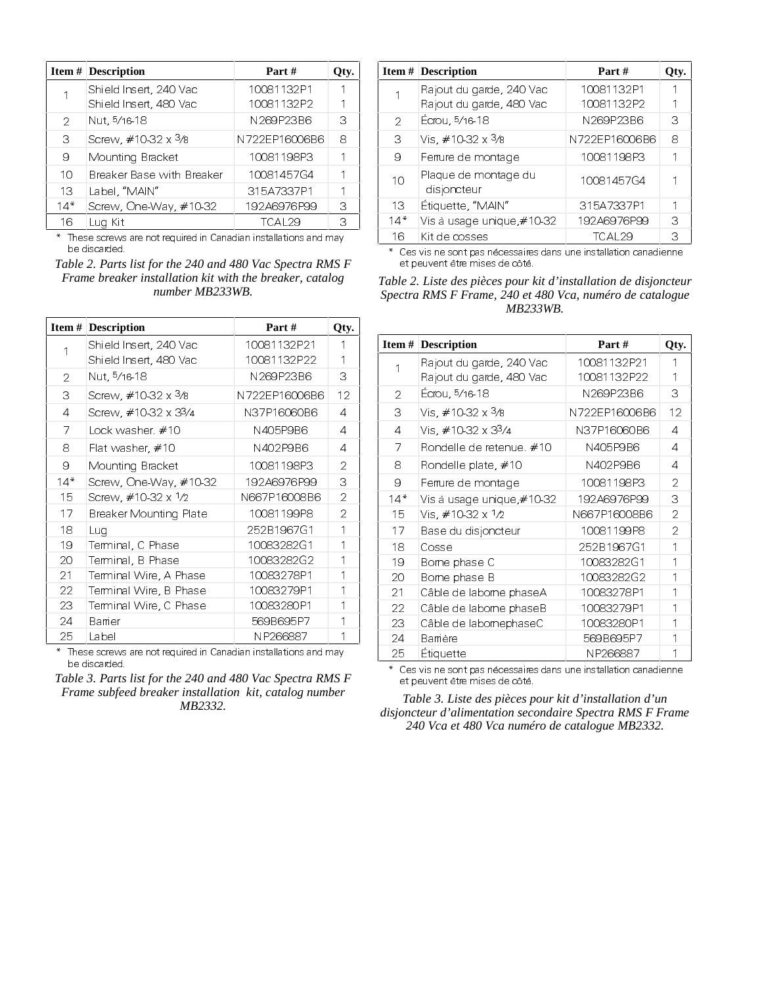|       | <b>Item # Description</b>   | Part#         | Qty. |
|-------|-----------------------------|---------------|------|
|       | Shield Insert, 240 Vac      | 10081132P1    |      |
|       | Shield Insert, 480 Vac      | 10081132P2    |      |
| 2     | Nut, 5/16-18                | N269P23B6     | З    |
| 3     | Screw, $\#10-32 \times 3/8$ | N722EP16006B6 | 8    |
| 9     | Mounting Bracket            | 10081198P3    |      |
| 10    | Breaker Base with Breaker   | 10081457G4    |      |
| 13    | Label, "MAIN"               | 315A7337P1    |      |
| $14*$ | Screw, One-Way, #10-32      | 192A6976P99   | З    |
| 16    | Lug Kit                     | TCAL29        | З    |

\* These screws are not required in Canadian installations and may be discarded.

*Table 2. Parts list for the 240 and 480 Vac Spectra RMS F Frame breaker installation kit with the breaker, catalog number MB233WB.*

|       | Item $#$ Description   | Part #        | Qty. |
|-------|------------------------|---------------|------|
|       | Shield Insert, 240 Vac | 10081132P21   | 1    |
|       | Shield Insert, 480 Vac | 10081132P22   | 1    |
| 2     | Nut, 5/16-18           | N269P23B6     | З    |
| 3     | Screw, #10-32 x 3/8    | N722EP16006B6 | 12   |
| 4     | Screw, #10-32 x 33/4   | N37P16060B6   | 4    |
| 7     | Lock washer $\#10$     | N405P9B6      | 4    |
| 8     | Flat washer, $\#10$    | N402 P9B6     | 4    |
| 9     | Mounting Bracket       | 10081198P3    | 2    |
| $14*$ | Screw, One-Way, #10-32 | 192A6976P99   | 3    |
| 15    | Screw, #10-32 x 1/2    | N667P16008B6  | 2    |
| 17    | Breaker Mounting Plate | 10081199P8    | 2    |
| 18    | Lua                    | 252B1967G1    | 1    |
| 19    | Terminal, C Phase      | 10083282G1    | 1    |
| 20    | Terminal, B Phase      | 10083282G2    | 1    |
| 21    | Terminal Wire, A Phase | 10083278P1    | 1    |
| 22    | Terminal Wire, B Phase | 10083279P1    | 1    |
| 23    | Terminal Wire, C Phase | 10083280P1    | 1    |
| 24    | Barrier                | 569B695P7     |      |
| 25    | Label                  | NP266887      | 1    |

\* These screws are not required in Canadian installations and may be discarded.

*Table 3. Parts list for the 240 and 480 Vac Spectra RMS F Frame subfeed breaker installation kit, catalog number MB2332.*

|     | <b>Item # Description</b>           | Part #             | Qty. |
|-----|-------------------------------------|--------------------|------|
|     | Rajout du garde, 240 Vac            | 10081132P1         |      |
|     | Rajout du garde, 480 Vac            | 10081132P2         |      |
| 2   | Écrou, 5/16-18                      | N269P23B6          | З    |
| 3   | Vis, #10-32 x 3/8                   | N722EP16006B6      | 8    |
| 9   | Ferrure de montage                  | 10081198P3         |      |
| 10  | Plaque de montage du<br>disjoncteur | 10081457G4         |      |
| 13  | Étiquette, "MAIN"                   | 315A7337P1         |      |
| 14* | Vis à usage unique,#10-32           | 192A6976P99        | З    |
| 16  | Kit de cosses                       | TCAL <sub>29</sub> | З    |

\* Ces vis ne sont pas nécessaires dans une installation canadienne et peuvent être mises de côté.

*Table 2. Liste des pièces pour kit d'installation de disjoncteur Spectra RMS F Frame, 240 et 480 Vca, numéro de catalogue MB233WB.*

|       | <b>Item # Description</b> | Part #        | Qty.           |
|-------|---------------------------|---------------|----------------|
| 1     | Rajout du garde, 240 Vac  | 10081132P21   |                |
|       | Rajout du garde, 480 Vac  | 10081132P22   | 1              |
| 2     | Ecrou, 5/16-18            | N269P23B6     | 3              |
| 3     | Vis. #10-32 x 3/8         | N722EP16006B6 | 12             |
| 4     | Vis. #10-32 x 33/4        | N37P16060B6   | 4              |
| 7     | Rondelle de retenue. #10  | N405P9B6      | 4              |
| 8     | Rondelle plate, $\#10$    | N402 P9B6     | 4              |
| 9     | Ferrure de montage        | 10081198P3    | 2              |
| $14*$ | Vis à usage unique,#10-32 | 192A6976P99   | 3              |
| 15    | Vis, #10-32 x 1/2         | N667P16008B6  | 2              |
| 17    | Base du disjoncteur       | 10081199P8    | $\overline{2}$ |
| 18    | Cosse                     | 252B1967G1    | 1              |
| 19    | Bome phase C              | 10083282G1    | 1              |
| 20    | Bome phase B              | 10083282G2    | 1              |
| 21    | Câble de labome phaseA    | 10083278P1    | 1              |
| 22    | Câble de labome phaseB    | 10083279P1    | 1              |
| 23    | Câble de labomephaseC     | 10083280P1    |                |
| 24    | Bamère                    | 569B695P7     |                |
| 25    | <b>Etiquette</b>          | NP266887      |                |

\* Ces vis ne sont pas nécessaires dans une installation canadienne et peuvent être mises de côté.

*Table 3. Liste des pièces pour kit d'installation d'un disjoncteur d'alimentation secondaire Spectra RMS F Frame 240 Vca et 480 Vca numéro de catalogue MB2332.*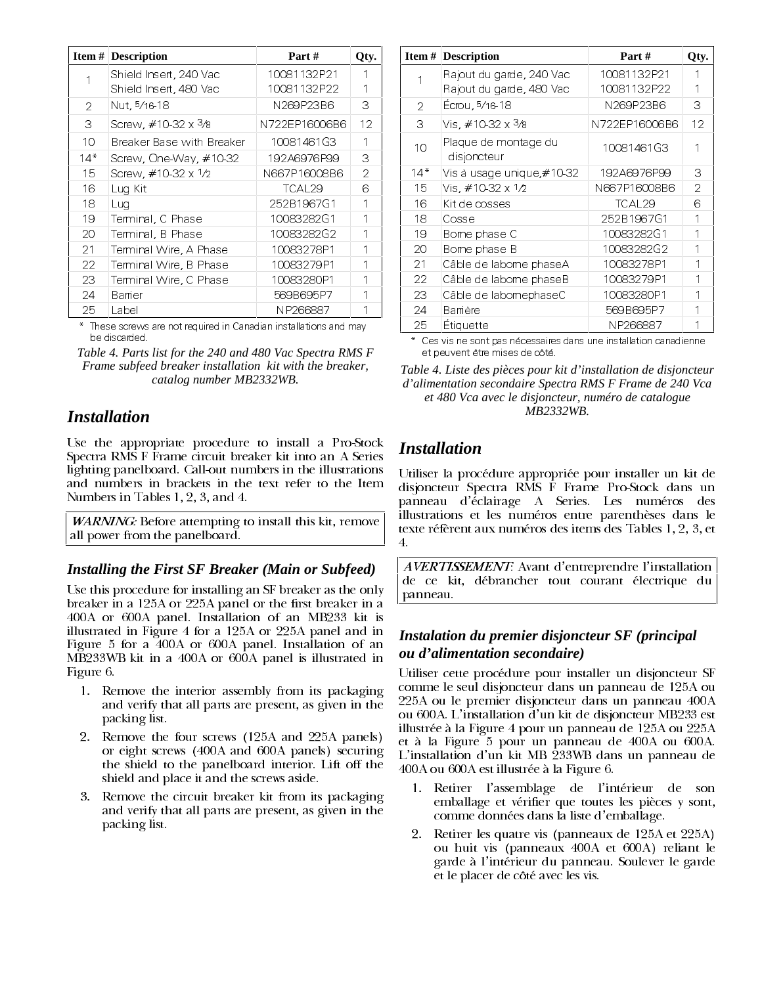|       | <b>Item # Description</b>   | Part#         | Oty.    |
|-------|-----------------------------|---------------|---------|
|       | Shield Insert, 240 Vac      | 10081132P21   |         |
|       | Shield Insert, 480 Vac      | 10081132P22   |         |
| 2     | Nut, 5/16-18                | N269P23B6     | З       |
| 3     | Screw, #10-32 x 3/8         | N722EP16006B6 | $12 \,$ |
| 10    | Breaker Base with Breaker   | 10081461G3    | 1       |
| $14*$ | Screw, One-Way, #10-32      | 192A6976P99   | 3       |
| 15    | Screw, $\#10-32 \times 1/2$ | N667P16008B6  | 2       |
| 16    | Lug Kit                     | TCAL29        | 6       |
| 18    | Luq                         | 252B1967G1    |         |
| 19    | Terminal, C Phase           | 10083282G1    |         |
| 20    | Terminal, B Phase           | 10083282G2    |         |
| 21    | Terminal Wire, A Phase      | 10083278P1    |         |
| 22    | Terminal Wire, B Phase      | 10083279P1    |         |
| 23    | Terminal Wire, C Phase      | 10083280P1    |         |
| 24    | Barrier                     | 569B695P7     |         |
| 25    | Label                       | NP266887      |         |

\* These screws are not required in Canadian installations and may be discarded.

*Table 4. Parts list for the 240 and 480 Vac Spectra RMS F Frame subfeed breaker installation kit with the breaker, catalog number MB2332WB.*

# *Installation*

Use the appropriate procedure to install a Pro-Stock Spectra RMS F Frame circuit breaker kit into an A Series lighting panelboard. Call-out numbers in the illustrations and numbers in brackets in the text refer to the Item Numbers in Tables 1, 2, 3, and 4.

*WARNING*: Before attempting to install this kit, remove all power from the panelboard.

#### *Installing the First SF Breaker (Main or Subfeed)*

Use this procedure for installing an SF breaker as the only breaker in a 125A or 225A panel or the first breaker in a 400A or 600A panel. Installation of an MB233 kit is illustrated in Figure 4 for a 125A or 225A panel and in Figure 5 for a 400A or 600A panel. Installation of an MB233WB kit in a 400A or 600A panel is illustrated in Figure 6.

- 1. Remove the interior assembly from its packaging and verify that all parts are present, as given in the packing list.
- 2. Remove the four screws (125A and 225A panels) or eight screws (400A and 600A panels) securing the shield to the panelboard interior. Lift off the shield and place it and the screws aside.
- 3. Remove the circuit breaker kit from its packaging and verify that all parts are present, as given in the packing list.

|       | <b>Item # Description</b>           | Part #        | Qty. |
|-------|-------------------------------------|---------------|------|
| 1     | Rajout du garde, 240 Vac            | 10081132P21   |      |
|       | Rajout du garde, 480 Vac            | 10081132P22   |      |
| 2     | Écrou, 5/16-18                      | N269P23B6     | З    |
| 3     | Vis. $\#10.32 \times 3/s$           | N722EP16006B6 | 12   |
| 10    | Plaque de montage du<br>disjoncteur | 10081461G3    |      |
| $14*$ | Vis à usage unique,#10-32           | 192A6976P99   | З    |
| 15    | Vis, #10-32 x 1/2                   | N667P16008B6  | 2    |
| 16    | Kit de cosses                       | TCAL29        | 6    |
| 18    | Cosse                               | 252B1967G1    | 1    |
| 19    | Bome phase C                        | 10083282G1    | 1    |
| 20    | Bome phase B                        | 10083282G2    |      |
| 21    | Câble de labome phaseA              | 10083278P1    |      |
| 22    | Câble de labome phaseB              | 10083279P1    | 1    |
| 23    | Câble de labomephaseC               | 10083280P1    |      |
| 24    | Bamère                              | 569B695P7     |      |
| 25    | <b>Etiquette</b>                    | NP266887      |      |

Ces vis ne sont pas nécessaires dans une installation canadienne et neuvent être mises de côté

*Table 4. Liste des pièces pour kit d'installation de disjoncteur d'alimentation secondaire Spectra RMS F Frame de 240 Vca et 480 Vca avec le disjoncteur, numéro de catalogue MB2332WB.*

# *Installation*

Utiliser la procédure appropriée pour installer un kit de disjoncteur Spectra RMS F Frame Pro-Stock dans un panneau d'éclairage A Series. Les numéros des illustrations et les numéros entre parenthèses dans le texte réfèrent aux numéros des items des Tables 1, 2, 3, et 4.

AVERTISSEMENT: Avant d'entreprendre l'installation de ce kit, débrancher tout courant électrique du panneau.

## *Instalation du premier disjoncteur SF (principal ou d'alimentation secondaire)*

Utiliser cette procédure pour installer un disjoncteur SF comme le seul disjoncteur dans un panneau de 125A ou 225A ou le premier disjoncteur dans un panneau 400A ou 600A. L'installation d'un kit de disjoncteur MB233 est illustrée à la Figure 4 pour un panneau de 125A ou 225A et à la Figure 5 pour un panneau de 400A ou 600A. L'installation d'un kit MB 233WB dans un panneau de  $400A$  ou  $600A$  est illustrée à la Figure  $6$ .

- 1. Retirer l'assemblage de l'intérieur de son emballage et vérifier que toutes les pièces y sont, comme données dans la liste d'emballage.
- 2. Retirer les quatre vis (panneaux de 125A et 225A) ou huit vis (panneaux 400A et 600A) reliant le garde à l'intérieur du panneau. Soulever le garde et le placer de côté avec les vis.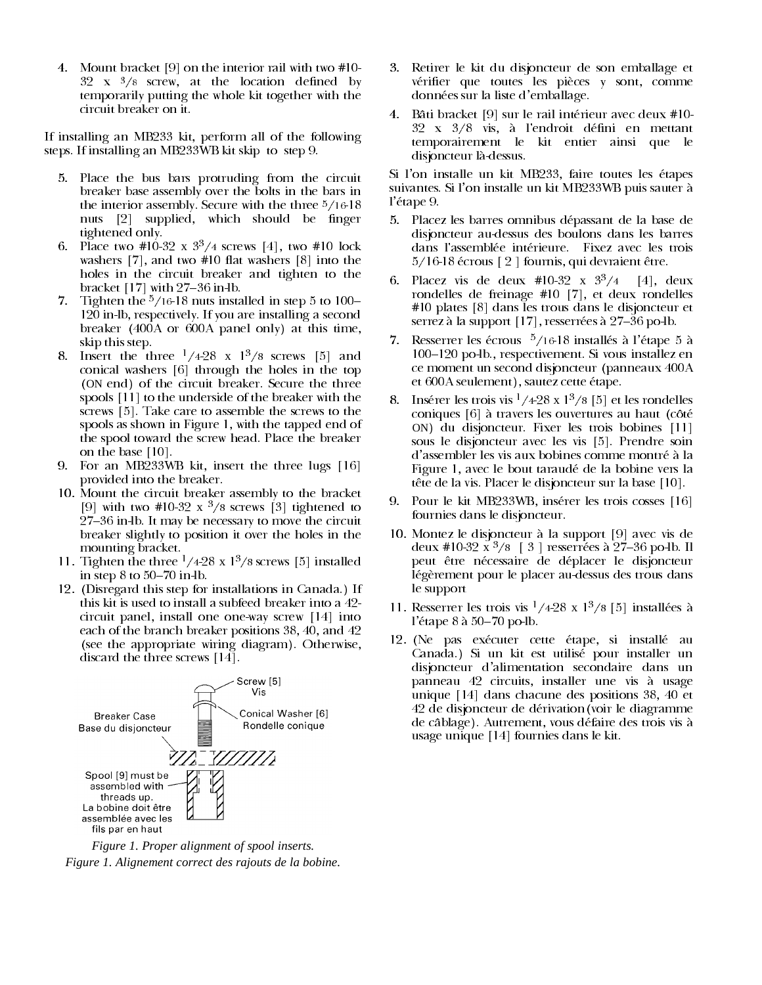4. Mount bracket [9] on the interior rail with two #10- $32 \times \frac{3}{8}$  screw, at the location defined by temporarily putting the whole kit together with the circuit breaker on it.

If installing an MB233 kit, perform all of the following steps. If installing an MB233WB kit skip to step 9.

- 5. Place the bus bars protruding from the circuit breaker base assembly over the bolts in the bars in the interior assembly. Secure with the three  $\frac{5}{16}$ -18 nuts [2] supplied, which should be finger tightened only.
- 6. Place two #10-32 x  $3^{3}/4$  screws [4], two #10 lock washers  $[7]$ , and two #10 flat washers  $[8]$  into the holes in the circuit breaker and tighten to the bracket  $[17]$  with 27–36 in lb.
- Tighten the  $\frac{5}{16}$ -18 nuts installed in step 5 to 100–  $7.$  $120$  in-lb, respectively. If you are installing a second breaker (400A or 600A panel only) at this time, skip this step.
- 8. Insert the three  $\frac{1}{428}$  x  $\frac{13}{8}$  screws [5] and conical washers [6] through the holes in the top (ON end) of the circuit breaker. Secure the three spools [11] to the underside of the breaker with the screws [5]. Take care to assemble the screws to the spools as shown in Figure 1, with the tapped end of the spool toward the screw head. Place the breaker on the base [10].
- 9. For an MB233WB kit, insert the three lugs [16] provided into the breaker.
- 10. Mount the circuit breaker assembly to the bracket [9] with two #10-32 x  $\frac{3}{8}$  screws [3] tightened to 27-36 in lb. It may be necessary to move the circuit breaker slightly to position it over the holes in the mounting bracket.
- 11. Tighten the three  $\frac{1}{428}$  x  $\frac{13}{8}$  screws [5] installed in step  $8$  to  $50-70$  in-lb.
- 12. (Disregard this step for installations in Canada.) If this kit is used to install a subfeed breaker into a  $42$ circuit panel, install one one way screw [14] into each of the branch breaker positions 38, 40, and 42 (see the appropriate wiring diagram). Otherwise, discard the three screws  $[14]$ .



Figure 1. Proper alignment of spool inserts. Figure 1. Alignement correct des rajouts de la bobine.

- Retirer le kit du disjoncteur de son emballage et vérifier que toutes les pièces y sont, comme données sur la liste d'emballage.
- 4. Bâti bracket [9] sur le rail intérieur avec deux #10-32 x 3/8 vis, à l'endroit défini en mettant temporairement le kit entier ainsi que le disjoncteur là-dessus.

Si l'on installe un kit MB233, faire toutes les étapes suivantes. Si l'on installe un kit MB233WB puis sauter à l'étape 9.

- Placez les barres omnibus dépassant de la base de 5. disjoncteur au-dessus des boulons dans les barres dans l'assemblée intérieure. Fixez avec les trois 5/16-18 écrous [2] fournis, qui devraient être.
- Placez vis de deux #10-32 x  $3^3/4$  [4], deux 6. . . rondelles de freinage #10 [7], et deux rondelles #10 plates [8] dans les trous dans le disjoncteur et serrez à la support [17], resserrées à 27–36 po-lb.
- Resserrer les écrous  $\frac{5}{16}$ -18 installés à l'étape 5 à 7. 100–120 po-lb., respectivement. Si vous installez en ce moment un second disjoncteur (panneaux 400A et 600A seulement), sautez cette étape.
- 8. Insérer les trois vis  $\frac{1}{4}28 \times 1^3/8$  [5] et les rondelles coniques [6] à travers les ouvertures au haut (côté ON) du disjoncteur. Fixer les trois bobines [11] sous le disjoncteur avec les vis [5]. Prendre soin d'assembler les vis aux bobines comme montré à la Figure 1, avec le bout taraudé de la bobine vers la tête de la vis. Placer le disjoncteur sur la base [10].
- 9. Pour le kit MB233WB, insérer les trois cosses [16] fournies dans le disjoncteur.
- 10. Montez le disjoncteur à la support [9] avec vis de deux #10-32 x  $\frac{3}{8}$  [ 3 ] resserrées à 27-36 po-lb. Il peut être nécessaire de déplacer le disjoncteur légèrement pour le placer au-dessus des trous dans le support
- 11. Resserrer les trois vis <sup>1</sup>/428 x 1<sup>3</sup>/8 [5] installées à l'étape 8 à  $50-70$  po lb.
- 12. (Ne pas exécuter cette étape, si installé au Canada.) Si un kit est utilisé pour installer un disjoncteur d'alimentation secondaire dans un panneau 42 circuits, installer une vis à usage unique [14] dans chacune des positions 38, 40 et 42 de disjoncteur de dérivation (voir le diagramme de câblage). Autrement, vous défaire des trois vis à usage unique [14] fournies dans le kit.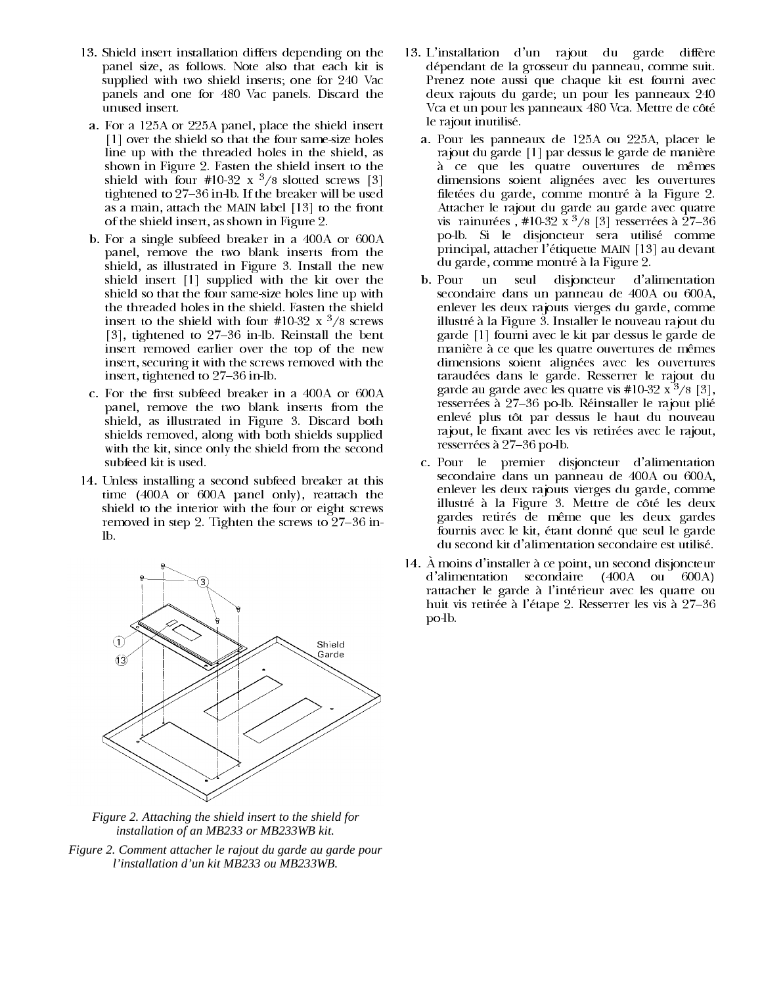- 13. Shield insert installation differs depending on the panel size, as follows. Note also that each kit is supplied with two shield inserts; one for 240 Vac panels and one for 480 Vac panels. Discard the unused insert.
- a. For a 125A or 225A panel, place the shield insert [1] over the shield so that the four same-size holes line up with the threaded holes in the shield, as shown in Figure 2. Fasten the shield insert to the shield with four #10-32 x  $\frac{3}{8}$  slotted screws [3] tightened to 27–36 in lb. If the breaker will be used as a main, attach the MAIN label [13] to the front of the shield insert, as shown in Figure 2.
- b. For a single subfeed breaker in a 400A or 600A panel, remove the two blank inserts from the shield, as illustrated in Figure 3. Install the new shield insert [1] supplied with the kit over the shield so that the four same-size holes line up with the threaded holes in the shield. Fasten the shield insert to the shield with four #10-32 x  $\frac{3}{8}$  screws [3], tightened to 27-36 in-lb. Reinstall the bent insert removed earlier over the top of the new insert, securing it with the screws removed with the insert, tightened to 27–36 in-lb.
- c. For the first subfeed breaker in a 400A or 600A panel, remove the two blank inserts from the shield, as illustrated in Figure 3. Discard both shields removed, along with both shields supplied with the kit, since only the shield from the second subfeed kit is used.
- 14. Unless installing a second subfeed breaker at this time (400A or 600A panel only), reattach the shield to the interior with the four or eight screws removed in step 2. Tighten the screws to  $27-36$  inlb.



Figure 2. Attaching the shield insert to the shield for installation of an MB233 or MB233WB kit.

Figure 2. Comment attacher le rajout du garde au garde pour l'installation d'un kit MB233 ou MB233WB.

- 13. L'installation d'un rajout du garde diffère dépendant de la grosseur du panneau, comme suit. Prenez note aussi que chaque kit est fourni avec deux rajouts du garde; un pour les panneaux 240 Vca et un pour les panneaux 480 Vca. Mettre de côté le rajout inutilisé.
	- a. Pour les panneaux de 125A ou 225A, placer le rajout du garde [1] par dessus le garde de manière à ce que les quatre ouvertures de mêmes dimensions soient alignées avec les ouvertures filetées du garde, comme montré à la Figure 2. Attacher le rajout du garde au garde avec quatre vis rainurées, #10-32 x  $\frac{3}{8}$  [3] resserrées à 27-36 po-lb. Si le disjoncteur sera utilisé comme principal, attacher l'étiquette MAIN [13] au devant du garde, comme montré à la Figure 2.
	- b. Pour un seul disjoncteur d'alimentation secondaire dans un panneau de 400A ou 600A, enlever les deux rajouts vierges du garde, comme illustré à la Figure 3. Installer le nouveau rajout du garde [1] fourni avec le kit par dessus le garde de manière à ce que les quatre ouvertures de mêmes dimensions soient alignées avec les ouvertures taraudées dans le garde. Resserrer le rajout du garde au garde avec les quatre vis #10-32  $x^3/s$  [3]. resserrées à 27–36 po lb. Réinstaller le rajout plié enlevé plus tôt par dessus le haut du nouveau rajout, le fixant avec les vis retirées avec le rajout, resserrées à 27-36 po-lb.
	- c. Pour le premier disjoncteur d'alimentation secondaire dans un panneau de 400A ou 600A, enlever les deux rajouts vierges du garde, comme illustré à la Figure 3. Mettre de côté les deux gardes retirés de même que les deux gardes fournis avec le kit, étant donné que seul le garde du second kit d'alimentation secondaire est utilisé.
- 14. À moins d'installer à ce point, un second disjoncteur d'alimentation secondaire (400A ou 600A) rattacher le garde à l'intérieur avec les quatre ou huit vis retirée à l'étape 2. Resserrer les vis à 27–36 po-lb.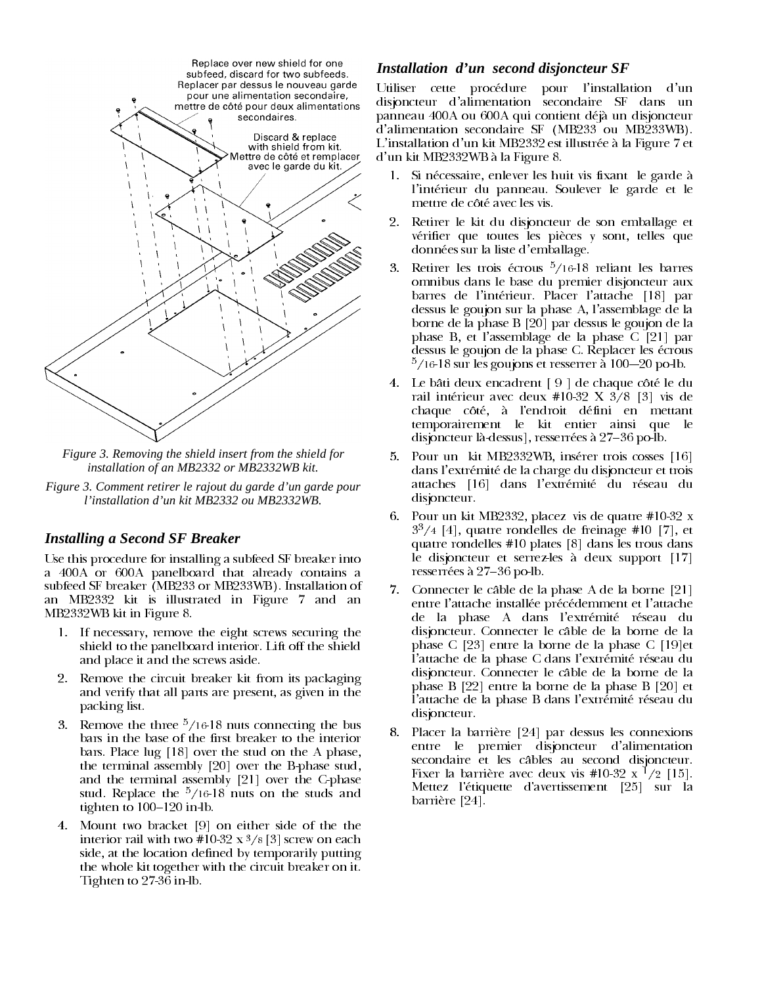

*Figure 3. Removing the shield insert from the shield for installation of an MB2332 or MB2332WB kit.*

*Figure 3. Comment retirer le rajout du garde d'un garde pour l'installation d'un kit MB2332 ou MB2332WB.*

#### *Installing a Second SF Breaker*

Use this procedure for installing a subfeed SF breaker into a 400A or 600A panelboard that already contains a subfeed SF breaker (MB233 or MB233WB). Installation of an MB2332 kit is illustrated in Figure 7 and an MB2332WB kit in Figure 8.

- 1. If necessary, remove the eight screws securing the shield to the panelboard interior. Lift off the shield and place it and the screws aside.
- 2. Remove the circuit breaker kit from its packaging and verify that all parts are present, as given in the packing list.
- 3. Remove the three  $\frac{5}{16}$ -18 nuts connecting the bus bars in the base of the first breaker to the interior bars. Place  $\log$  [18] over the stud on the A phase, the terminal assembly  $[20]$  over the B-phase stud, and the terminal assembly  $[21]$  over the C-phase stud. Replace the  $\frac{5}{16}$  18 nuts on the studs and tighten to  $100-120$  in  $lb$ .
- 4. Mount two bracket [9] on either side of the the interior rail with two  $\#10-32 \times \frac{3}{8}$ [3] screw on each side, at the location defined by temporarily putting the whole kit together with the circuit breaker on it. Tighten to  $27-36$  in lb.

#### *Installation d'un second disjoncteur SF*

Utiliser cette procédure pour l'installation d'un disjoncteur d'alimentation secondaire SF dans un panneau 400A ou 600A qui contient déjà un disjoncteur  $\overline{d}$ 'alimentation secondaire SF (MB233 ou MB233WB). L'installation d'un kit MB2332 est illustrée à la Figure 7 et d'un kit MB2332WB à la Figure 8.

- 1. Si nécessaire, enlever les huit vis fixant le garde à l'intérieur du panneau. Soulever le garde et le mettre de côté avec les vis.
- 2. Retirer le kit du disjoncteur de son emballage et vérifier que toutes les pièces y sont, telles que données sur la liste d'emballage.
- 3. Retirer les trois écrous  $\frac{5}{16}$ -18 reliant les barres omnibus dans le base du premier disjoncteur aux barres de l'intérieur. Placer l'attache [18] par dessus le goujon sur la phase A, l'assemblage de la borne de la phase B [20] par dessus le goujon de la phase B, et l'assemblage de la phase C [21] par dessus le goujon de la phase C. Replacer les écrous  $\frac{5}{16}$ -18 sur les goujons et resserrer à 100--20 po-lb.
- 4. Le bâti deux encadrent  $[9]$  de chaque côté le du rail intérieur avec deux #10-32 X  $3/8$  [3] vis de chaque côté, à l'endroit défini en mettant temporairement le kit entier ainsi que le disjoncteur là-dessus], resserrées à 27–36 po-lb.
- 5. Pour un kit MB2332WB, insérer trois cosses [16] dans l'extrémité de la charge du disjoncteur et trois attaches [16] dans l'extrémité du réseau du disjoncteur.
- 6. Pour un kit MB2332, placez vis de quatre  $#10-32 \text{ x}$  $3<sup>3</sup>/4$  [4], quatre rondelles de freinage #10 [7], et quatre rondelles  $#10$  plates [8] dans les trous dans le disjoncteur et serrez-les à deux support  $[17]$ resserrées à 27-36 po-lb.
- 7. Connecter le câble de la phase A de la borne [21] entre l'attache installée précédemment et l'attache de la phase A dans l'extrémité réseau du disjoncteur. Connecter le câble de la borne de la phase C [23] entre la borne de la phase C [19]et l'attache de la phase C dans l'extrémité réseau du disjoncteur. Connecter le câble de la borne de la phase B  $[22]$  entre la borne de la phase B  $[20]$  et l'attache de la phase B dans l'extrémité réseau du disjoncteur.
- 8. Placer la barrière [24] par dessus les connexions entre le premier disjoncteur d'alimentation secondaire et les câbles au second disjoncteur. Fixer la barrière avec deux vis #10-32 x  $\frac{1}{2}$  [15]. Mettez l'étiquette d'avertissement [25] sur la  $barrier [24]$ .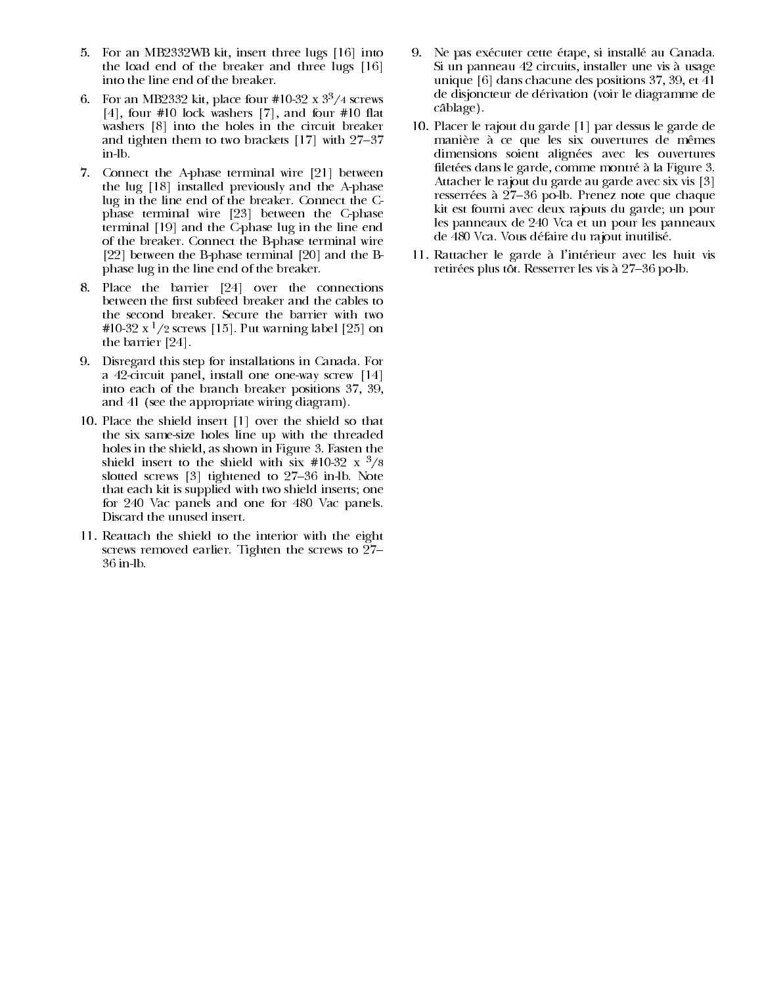- 5. For an MB2332WB kit, insert three lugs [16] into the load end of the breaker and three lugs  $[16]$ into the line end of the breaker.
- 6. For an MB2332 kit, place four #10-32 x  $3^3/4$  screws  $[4]$ , four #10 lock washers  $[7]$ , and four #10 flat washers  $[8]$  into the holes in the circuit breaker and tighten them to two brackets  $[17]$  with  $27-37$ in lb.
- 7. Connect the A-phase terminal wire  $[21]$  between the  $\log$  [18] installed previously and the A-phase lug in the line end of the breaker. Connect the  $C$ phase terminal wire [23] between the C-phase terminal [19] and the C-phase lug in the line end of the breaker. Connect the B-phase terminal wire [22] between the B-phase terminal  $[20]$  and the Bphase lug in the line end of the breaker.
- 8. Place the barrier [24] over the connections between the first subfeed breaker and the cables to the second breaker. Secure the barrier with two #10-32 x <sup>1</sup>/2 screws [15]. Put warning label [25] on the barrier [24].
- 9. Disregard this step for installations in Canada. For a 42-circuit panel, install one one-way screw  $[14]$ into each of the branch breaker positions 37, 39, and  $41$  (see the appropriate wiring diagram).
- 10. Place the shield insert [1] over the shield so that the six same-size holes line up with the threaded holes in the shield, as shown in Figure 3. Fasten the shield insert to the shield with  $\sin \#10-32 \times \frac{3}{8}$ slotted screws  $[3]$  tightened to  $27-36$  in lb. Note that each kit is supplied with two shield inserts; one for 240 Vac panels and one for 480 Vac panels. Discard the unused insert.
- 11. Reattach the shield to the interior with the eight screws removed earlier. Tighten the screws to  $27 36$  in  $lb$ .
- 9. Ne pas exécuter cette étape, si installé au Canada. Si un panneau 42 circuits, installer une vis à usage unique [6] dans chacune des positions 37, 39, et  $\overline{4}1$ de disjoncteur de dérivation (voir le diagramme de câblage).
- 10. Placer le rajout du garde [1] par dessus le garde de manière à ce que les six ouvertures de mêmes dimensions soient alignées avec les ouvertures filetées dans le garde, comme montré à la Figure 3. Attacher le rajout du garde au garde avec six vis [3] resserrées à 27-36 po-lb. Prenez note que chaque kit est fourni avec deux rajouts du garde, un pour les panneaux de 240 Vca et un pour les panneaux de 480 Vca. Vous défaire du rajout inutilisé.
- 11. Rattacher le garde à l'intérieur avec les huit vis retirées plus tôt. Resserrer les vis à 27–36 po-lb.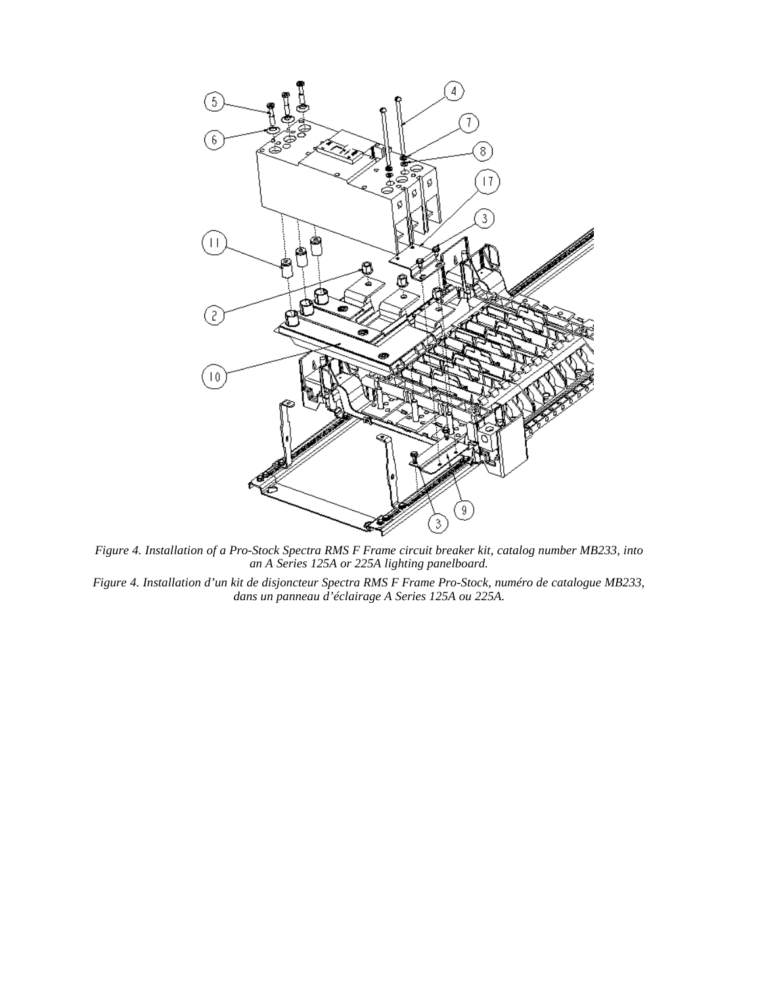

*Figure 4. Installation of a Pro-Stock Spectra RMS F Frame circuit breaker kit, catalog number MB233, into an A Series 125A or 225A lighting panelboard.*

*Figure 4. Installation d'un kit de disjoncteur Spectra RMS F Frame Pro-Stock, numéro de catalogue MB233, dans un panneau d'éclairage A Series 125A ou 225A.*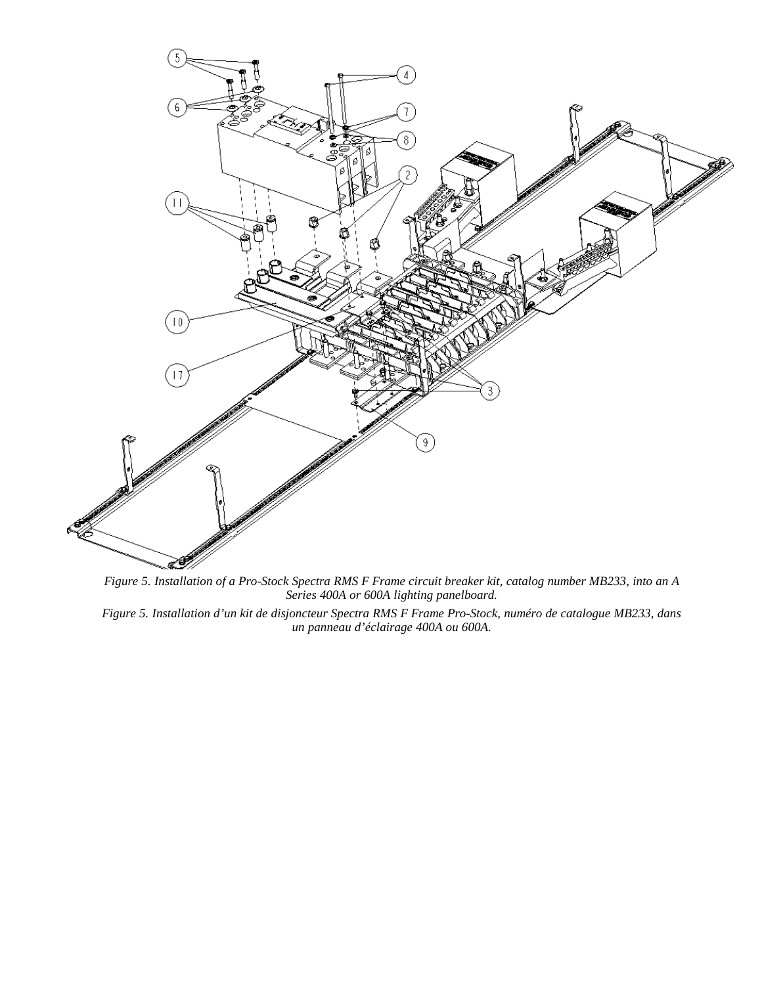

*Figure 5. Installation of a Pro-Stock Spectra RMS F Frame circuit breaker kit, catalog number MB233, into an A Series 400A or 600A lighting panelboard.*

*Figure 5. Installation d'un kit de disjoncteur Spectra RMS F Frame Pro-Stock, numéro de catalogue MB233, dans un panneau d'éclairage 400A ou 600A.*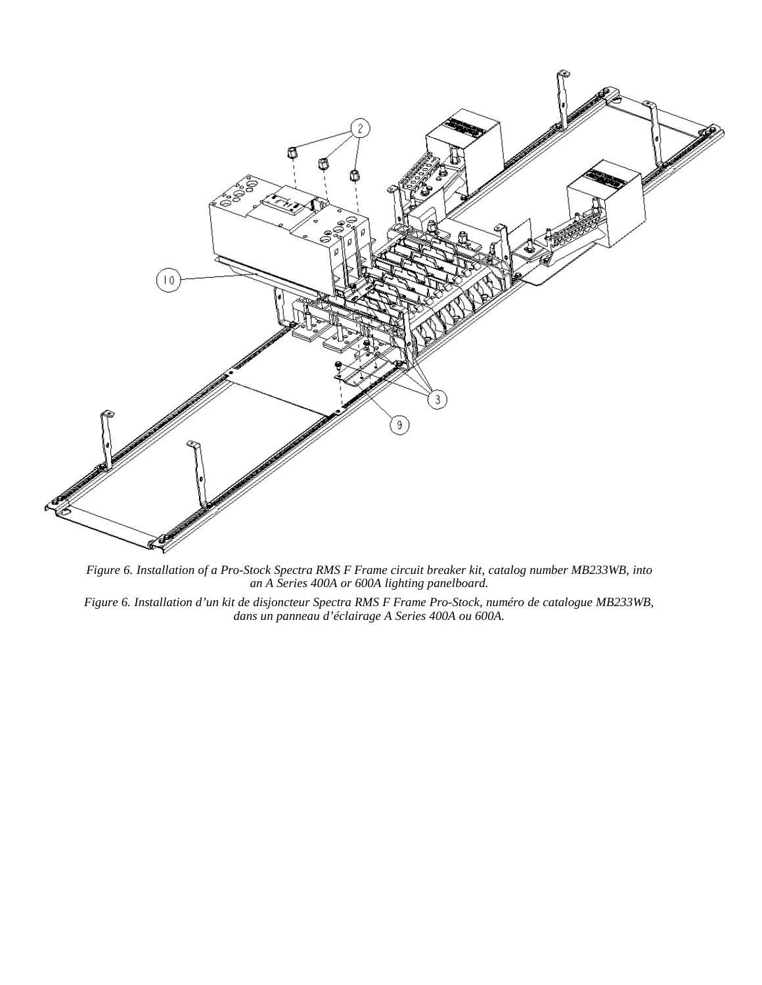

*Figure 6. Installation of a Pro-Stock Spectra RMS F Frame circuit breaker kit, catalog number MB233WB, into an A Series 400A or 600A lighting panelboard.*

*Figure 6. Installation d'un kit de disjoncteur Spectra RMS F Frame Pro-Stock, numéro de catalogue MB233WB, dans un panneau d'éclairage A Series 400A ou 600A.*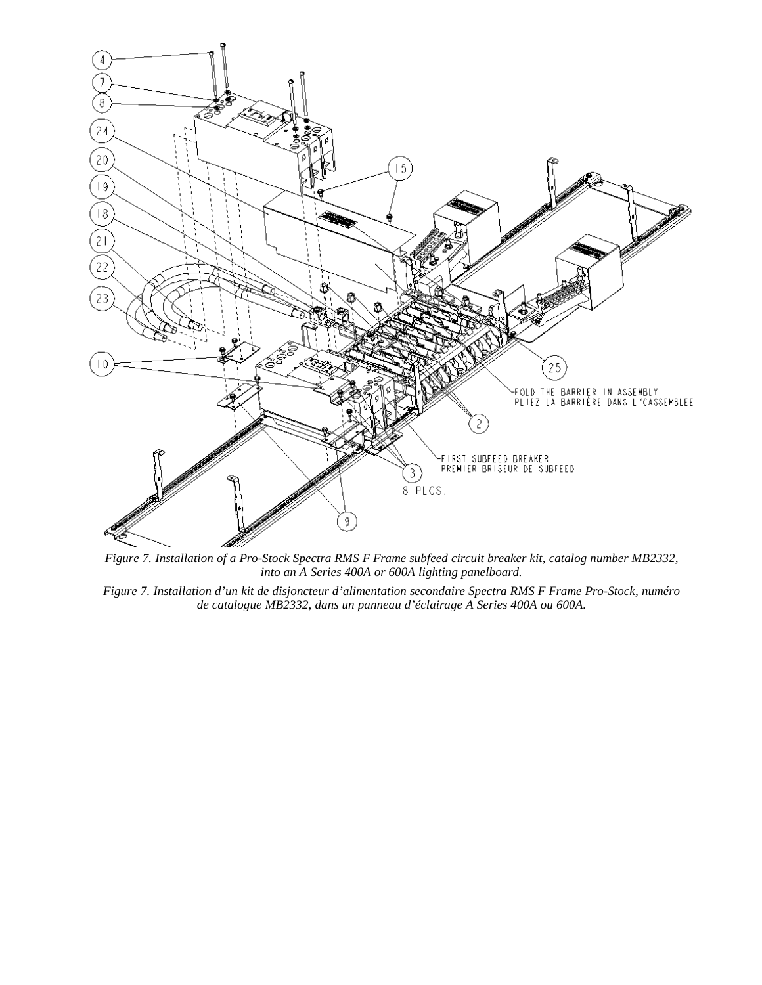

*Figure 7. Installation of a Pro-Stock Spectra RMS F Frame subfeed circuit breaker kit, catalog number MB2332, into an A Series 400A or 600A lighting panelboard.*

*Figure 7. Installation d'un kit de disjoncteur d'alimentation secondaire Spectra RMS F Frame Pro-Stock, numéro de catalogue MB2332, dans un panneau d'éclairage A Series 400A ou 600A.*